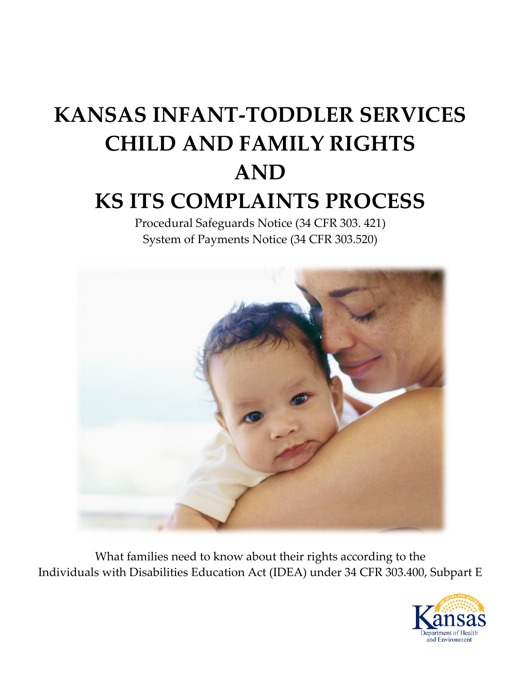# **KANSAS INFANT-TODDLER SERVICES CHILD AND FAMILY RIGHTS AND KS ITS COMPLAINTS PROCESS**

Procedural Safeguards Notice (34 CFR 303. 421) System of Payments Notice (34 CFR 303.520)



What families need to know about their rights according to the Individuals with Disabilities Education Act (IDEA) under 34 CFR 303.400, Subpart E

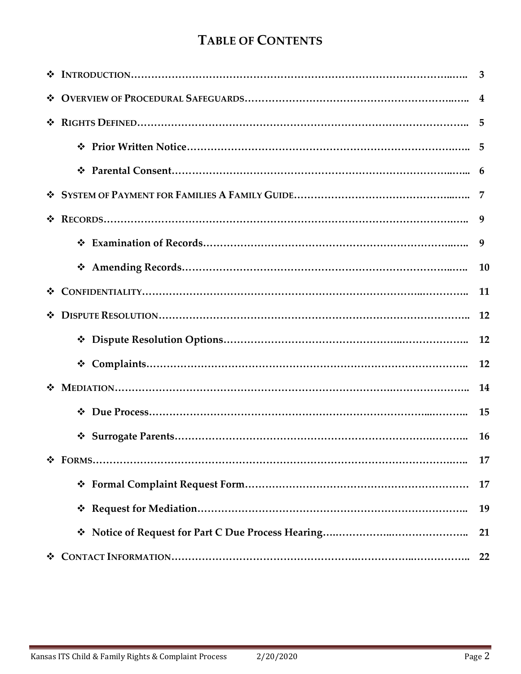# **TABLE OF CONTENTS**

|   |   | 3         |
|---|---|-----------|
|   |   | 4         |
|   |   | 5         |
|   |   | 5         |
|   |   | - 6       |
|   |   |           |
| ❖ |   | 9         |
|   |   | 9         |
|   | ❖ | <b>10</b> |
|   |   | 11        |
|   |   | 12        |
|   |   | 12        |
|   | ❖ | 12        |
|   |   | 14        |
|   | ❖ | 15        |
|   | ❖ | <b>16</b> |
|   |   | 17        |
|   |   | 17        |
|   | ❖ | 19        |
|   | ❖ | 21        |
|   |   | 22        |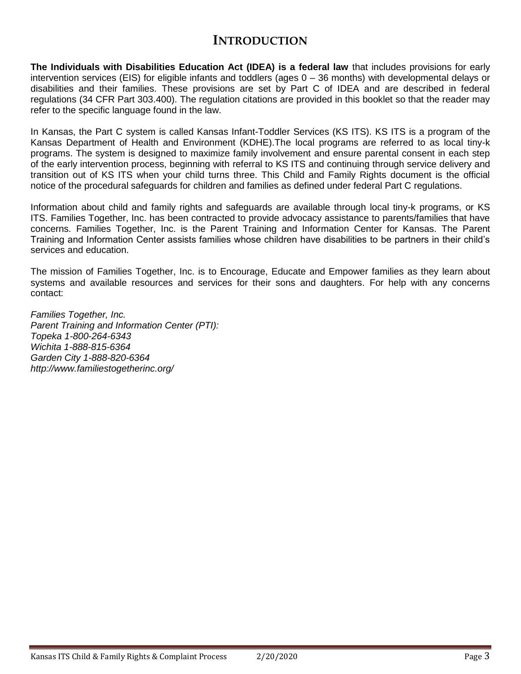## **INTRODUCTION**

**The Individuals with Disabilities Education Act (IDEA) is a federal law** that includes provisions for early intervention services (EIS) for eligible infants and toddlers (ages 0 – 36 months) with developmental delays or disabilities and their families. These provisions are set by Part C of IDEA and are described in federal regulations (34 CFR Part 303.400). The regulation citations are provided in this booklet so that the reader may refer to the specific language found in the law.

In Kansas, the Part C system is called Kansas Infant-Toddler Services (KS ITS). KS ITS is a program of the Kansas Department of Health and Environment (KDHE).The local programs are referred to as local tiny-k programs. The system is designed to maximize family involvement and ensure parental consent in each step of the early intervention process, beginning with referral to KS ITS and continuing through service delivery and transition out of KS ITS when your child turns three. This Child and Family Rights document is the official notice of the procedural safeguards for children and families as defined under federal Part C regulations.

Information about child and family rights and safeguards are available through local tiny-k programs, or KS ITS. Families Together, Inc. has been contracted to provide advocacy assistance to parents/families that have concerns. Families Together, Inc. is the Parent Training and Information Center for Kansas. The Parent Training and Information Center assists families whose children have disabilities to be partners in their child's services and education.

The mission of Families Together, Inc. is to Encourage, Educate and Empower families as they learn about systems and available resources and services for their sons and daughters. For help with any concerns contact:

*Families Together, Inc. Parent Training and Information Center (PTI): Topeka 1-800-264-6343 Wichita 1-888-815-6364 Garden City 1-888-820-6364 <http://www.familiestogetherinc.org/>*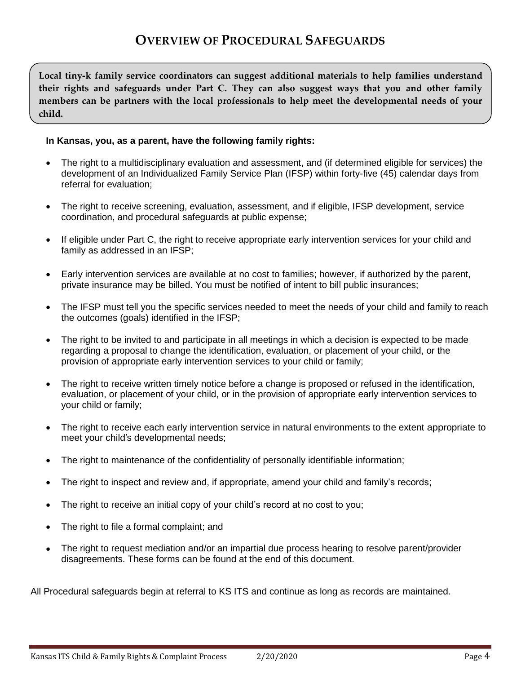**Local tiny-k family service coordinators can suggest additional materials to help families understand their rights and safeguards under Part C. They can also suggest ways that you and other family members can be partners with the local professionals to help meet the developmental needs of your child.**

#### **In Kansas, you, as a parent, have the following family rights:**

- The right to a multidisciplinary evaluation and assessment, and (if determined eligible for services) the development of an Individualized Family Service Plan (IFSP) within forty-five (45) calendar days from referral for evaluation;
- The right to receive screening, evaluation, assessment, and if eligible, IFSP development, service coordination, and procedural safeguards at public expense;
- If eligible under Part C, the right to receive appropriate early intervention services for your child and family as addressed in an IFSP;
- Early intervention services are available at no cost to families; however, if authorized by the parent, private insurance may be billed. You must be notified of intent to bill public insurances;
- The IFSP must tell you the specific services needed to meet the needs of your child and family to reach the outcomes (goals) identified in the IFSP;
- The right to be invited to and participate in all meetings in which a decision is expected to be made regarding a proposal to change the identification, evaluation, or placement of your child, or the provision of appropriate early intervention services to your child or family;
- The right to receive written timely notice before a change is proposed or refused in the identification, evaluation, or placement of your child, or in the provision of appropriate early intervention services to your child or family;
- The right to receive each early intervention service in natural environments to the extent appropriate to meet your child's developmental needs;
- The right to maintenance of the confidentiality of personally identifiable information;
- The right to inspect and review and, if appropriate, amend your child and family's records;
- The right to receive an initial copy of your child's record at no cost to you;
- The right to file a formal complaint; and
- The right to request mediation and/or an impartial due process hearing to resolve parent/provider disagreements. These forms can be found at the end of this document.

All Procedural safeguards begin at referral to KS ITS and continue as long as records are maintained.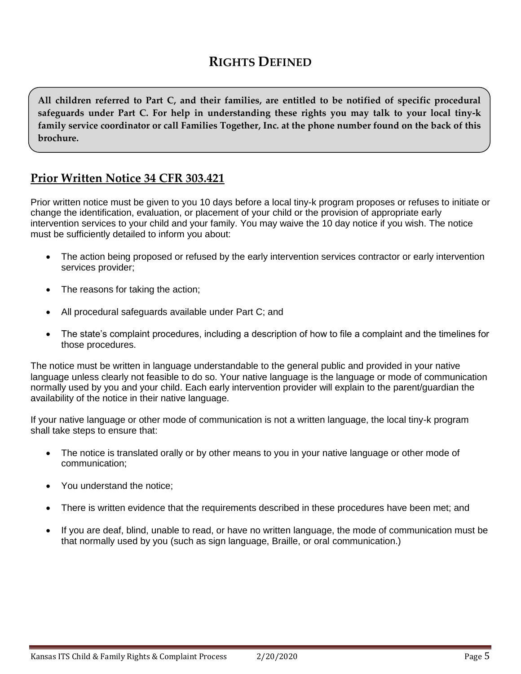# **RIGHTS DEFINED**

**All children referred to Part C, and their families, are entitled to be notified of specific procedural safeguards under Part C. For help in understanding these rights you may talk to your local tiny-k family service coordinator or call Families Together, Inc. at the phone number found on the back of this brochure.**

## **Prior Written Notice 34 CFR 303.421**

Prior written notice must be given to you 10 days before a local tiny-k program proposes or refuses to initiate or change the identification, evaluation, or placement of your child or the provision of appropriate early intervention services to your child and your family. You may waive the 10 day notice if you wish. The notice must be sufficiently detailed to inform you about:

- The action being proposed or refused by the early intervention services contractor or early intervention services provider;
- The reasons for taking the action;
- All procedural safeguards available under Part C; and
- The state's complaint procedures, including a description of how to file a complaint and the timelines for those procedures.

The notice must be written in language understandable to the general public and provided in your native language unless clearly not feasible to do so. Your native language is the language or mode of communication normally used by you and your child. Each early intervention provider will explain to the parent/guardian the availability of the notice in their native language.

If your native language or other mode of communication is not a written language, the local tiny-k program shall take steps to ensure that:

- The notice is translated orally or by other means to you in your native language or other mode of communication;
- You understand the notice;
- There is written evidence that the requirements described in these procedures have been met; and
- If you are deaf, blind, unable to read, or have no written language, the mode of communication must be that normally used by you (such as sign language, Braille, or oral communication.)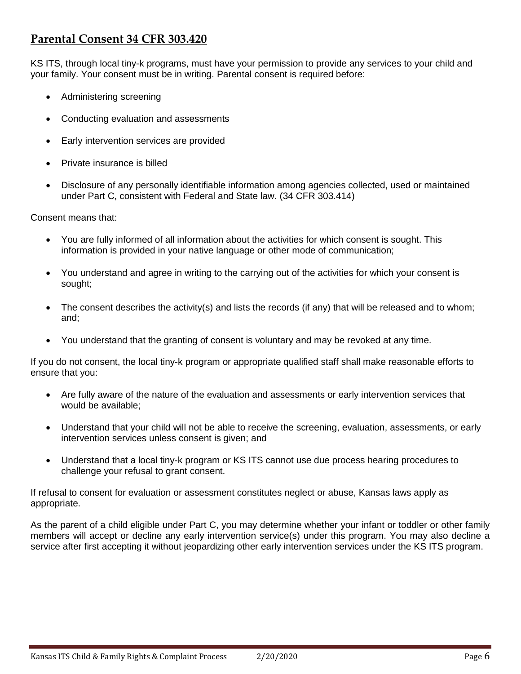## **Parental Consent 34 CFR 303.420**

KS ITS, through local tiny-k programs, must have your permission to provide any services to your child and your family. Your consent must be in writing. Parental consent is required before:

- Administering screening
- Conducting evaluation and assessments
- Early intervention services are provided
- Private insurance is billed
- Disclosure of any personally identifiable information among agencies collected, used or maintained under Part C, consistent with Federal and State law. (34 CFR 303.414)

Consent means that:

- You are fully informed of all information about the activities for which consent is sought. This information is provided in your native language or other mode of communication;
- You understand and agree in writing to the carrying out of the activities for which your consent is sought;
- The consent describes the activity(s) and lists the records (if any) that will be released and to whom; and;
- You understand that the granting of consent is voluntary and may be revoked at any time.

If you do not consent, the local tiny-k program or appropriate qualified staff shall make reasonable efforts to ensure that you:

- Are fully aware of the nature of the evaluation and assessments or early intervention services that would be available;
- Understand that your child will not be able to receive the screening, evaluation, assessments, or early intervention services unless consent is given; and
- Understand that a local tiny-k program or KS ITS cannot use due process hearing procedures to challenge your refusal to grant consent.

If refusal to consent for evaluation or assessment constitutes neglect or abuse, Kansas laws apply as appropriate.

As the parent of a child eligible under Part C, you may determine whether your infant or toddler or other family members will accept or decline any early intervention service(s) under this program. You may also decline a service after first accepting it without jeopardizing other early intervention services under the KS ITS program.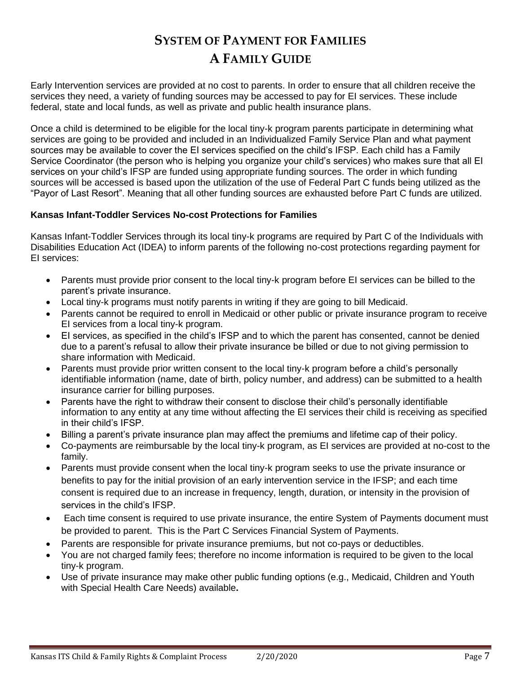# **SYSTEM OF PAYMENT FOR FAMILIES A FAMILY GUIDE**

Early Intervention services are provided at no cost to parents. In order to ensure that all children receive the services they need, a variety of funding sources may be accessed to pay for EI services. These include federal, state and local funds, as well as private and public health insurance plans.

Once a child is determined to be eligible for the local tiny-k program parents participate in determining what services are going to be provided and included in an Individualized Family Service Plan and what payment sources may be available to cover the EI services specified on the child's IFSP. Each child has a Family Service Coordinator (the person who is helping you organize your child's services) who makes sure that all EI services on your child's IFSP are funded using appropriate funding sources. The order in which funding sources will be accessed is based upon the utilization of the use of Federal Part C funds being utilized as the "Payor of Last Resort". Meaning that all other funding sources are exhausted before Part C funds are utilized.

#### **Kansas Infant-Toddler Services No-cost Protections for Families**

Kansas Infant-Toddler Services through its local tiny-k programs are required by Part C of the Individuals with Disabilities Education Act (IDEA) to inform parents of the following no-cost protections regarding payment for EI services:

- Parents must provide prior consent to the local tiny-k program before EI services can be billed to the parent's private insurance.
- Local tiny-k programs must notify parents in writing if they are going to bill Medicaid.
- Parents cannot be required to enroll in Medicaid or other public or private insurance program to receive EI services from a local tiny-k program.
- EI services, as specified in the child's IFSP and to which the parent has consented, cannot be denied due to a parent's refusal to allow their private insurance be billed or due to not giving permission to share information with Medicaid.
- Parents must provide prior written consent to the local tiny-k program before a child's personally identifiable information (name, date of birth, policy number, and address) can be submitted to a health insurance carrier for billing purposes.
- Parents have the right to withdraw their consent to disclose their child's personally identifiable information to any entity at any time without affecting the EI services their child is receiving as specified in their child's IFSP.
- Billing a parent's private insurance plan may affect the premiums and lifetime cap of their policy.
- Co-payments are reimbursable by the local tiny-k program, as EI services are provided at no-cost to the family.
- Parents must provide consent when the local tiny-k program seeks to use the private insurance or benefits to pay for the initial provision of an early intervention service in the IFSP; and each time consent is required due to an increase in frequency, length, duration, or intensity in the provision of services in the child's IFSP.
- Each time consent is required to use private insurance, the entire System of Payments document must be provided to parent. This is the Part C Services Financial System of Payments.
- Parents are responsible for private insurance premiums, but not co-pays or deductibles.
- You are not charged family fees; therefore no income information is required to be given to the local tiny-k program.
- Use of private insurance may make other public funding options (e.g., Medicaid, Children and Youth with Special Health Care Needs) available**.**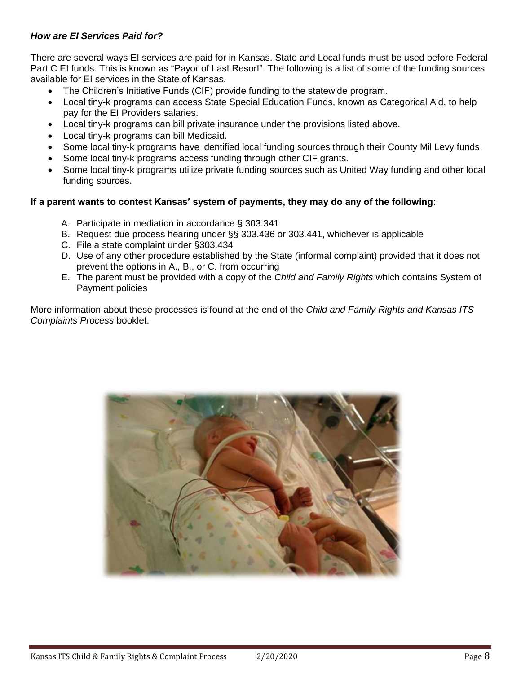#### *How are EI Services Paid for?*

There are several ways EI services are paid for in Kansas. State and Local funds must be used before Federal Part C EI funds. This is known as "Payor of Last Resort". The following is a list of some of the funding sources available for EI services in the State of Kansas.

- The Children's Initiative Funds (CIF) provide funding to the statewide program.
- Local tiny-k programs can access State Special Education Funds, known as Categorical Aid, to help pay for the EI Providers salaries.
- Local tiny-k programs can bill private insurance under the provisions listed above.
- Local tiny-k programs can bill Medicaid.
- Some local tiny-k programs have identified local funding sources through their County Mil Levy funds.
- Some local tiny-k programs access funding through other CIF grants.
- Some local tiny-k programs utilize private funding sources such as United Way funding and other local funding sources.

#### **If a parent wants to contest Kansas' system of payments, they may do any of the following:**

- A. Participate in mediation in accordance § 303.341
- B. Request due process hearing under §§ 303.436 or 303.441, whichever is applicable
- C. File a state complaint under §303.434
- D. Use of any other procedure established by the State (informal complaint) provided that it does not prevent the options in A., B., or C. from occurring
- E. The parent must be provided with a copy of the *Child and Family Rights* which contains System of Payment policies

More information about these processes is found at the end of the *Child and Family Rights and Kansas ITS Complaints Process* booklet.

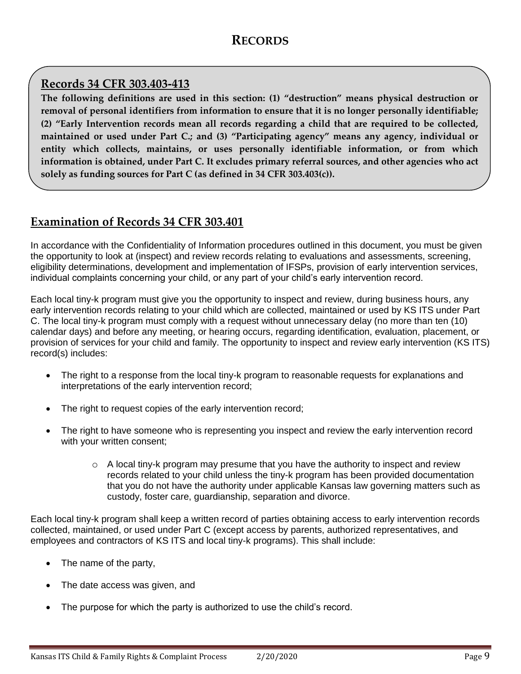## **RECORDS**

### **Records 34 CFR 303.403-413**

**The following definitions are used in this section: (1) "destruction" means physical destruction or removal of personal identifiers from information to ensure that it is no longer personally identifiable; (2) "Early Intervention records mean all records regarding a child that are required to be collected, maintained or used under Part C.; and (3) "Participating agency" means any agency, individual or entity which collects, maintains, or uses personally identifiable information, or from which information is obtained, under Part C. It excludes primary referral sources, and other agencies who act solely as funding sources for Part C (as defined in 34 CFR 303.403(c)).**

## **Examination of Records 34 CFR 303.401**

In accordance with the Confidentiality of Information procedures outlined in this document, you must be given the opportunity to look at (inspect) and review records relating to evaluations and assessments, screening, eligibility determinations, development and implementation of IFSPs, provision of early intervention services, individual complaints concerning your child, or any part of your child's early intervention record.

Each local tiny-k program must give you the opportunity to inspect and review, during business hours, any early intervention records relating to your child which are collected, maintained or used by KS ITS under Part C. The local tiny-k program must comply with a request without unnecessary delay (no more than ten (10) calendar days) and before any meeting, or hearing occurs, regarding identification, evaluation, placement, or provision of services for your child and family. The opportunity to inspect and review early intervention (KS ITS) record(s) includes:

- The right to a response from the local tiny-k program to reasonable requests for explanations and interpretations of the early intervention record;
- The right to request copies of the early intervention record;
- The right to have someone who is representing you inspect and review the early intervention record with your written consent;
	- $\circ$  A local tiny-k program may presume that you have the authority to inspect and review records related to your child unless the tiny-k program has been provided documentation that you do not have the authority under applicable Kansas law governing matters such as custody, foster care, guardianship, separation and divorce.

Each local tiny-k program shall keep a written record of parties obtaining access to early intervention records collected, maintained, or used under Part C (except access by parents, authorized representatives, and employees and contractors of KS ITS and local tiny-k programs). This shall include:

- The name of the party,
- The date access was given, and
- The purpose for which the party is authorized to use the child's record.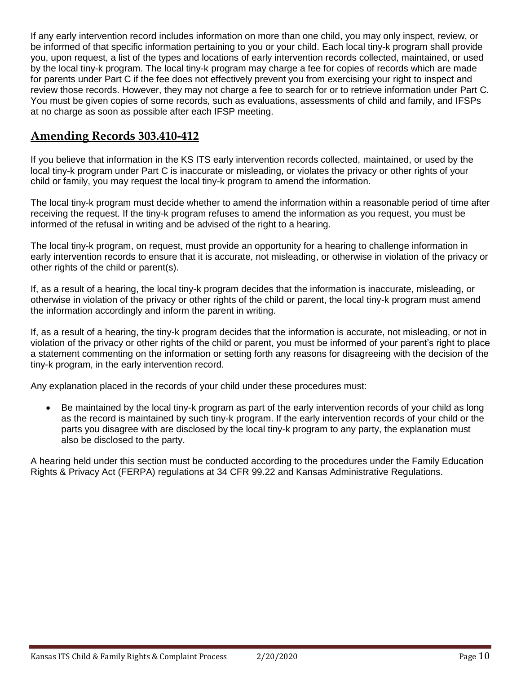If any early intervention record includes information on more than one child, you may only inspect, review, or be informed of that specific information pertaining to you or your child. Each local tiny-k program shall provide you, upon request, a list of the types and locations of early intervention records collected, maintained, or used by the local tiny-k program. The local tiny-k program may charge a fee for copies of records which are made for parents under Part C if the fee does not effectively prevent you from exercising your right to inspect and review those records. However, they may not charge a fee to search for or to retrieve information under Part C. You must be given copies of some records, such as evaluations, assessments of child and family, and IFSPs at no charge as soon as possible after each IFSP meeting.

## **Amending Records 303.410-412**

If you believe that information in the KS ITS early intervention records collected, maintained, or used by the local tiny-k program under Part C is inaccurate or misleading, or violates the privacy or other rights of your child or family, you may request the local tiny-k program to amend the information.

The local tiny-k program must decide whether to amend the information within a reasonable period of time after receiving the request. If the tiny-k program refuses to amend the information as you request, you must be informed of the refusal in writing and be advised of the right to a hearing.

The local tiny-k program, on request, must provide an opportunity for a hearing to challenge information in early intervention records to ensure that it is accurate, not misleading, or otherwise in violation of the privacy or other rights of the child or parent(s).

If, as a result of a hearing, the local tiny-k program decides that the information is inaccurate, misleading, or otherwise in violation of the privacy or other rights of the child or parent, the local tiny-k program must amend the information accordingly and inform the parent in writing.

If, as a result of a hearing, the tiny-k program decides that the information is accurate, not misleading, or not in violation of the privacy or other rights of the child or parent, you must be informed of your parent's right to place a statement commenting on the information or setting forth any reasons for disagreeing with the decision of the tiny-k program, in the early intervention record.

Any explanation placed in the records of your child under these procedures must:

Be maintained by the local tiny-k program as part of the early intervention records of your child as long as the record is maintained by such tiny-k program. If the early intervention records of your child or the parts you disagree with are disclosed by the local tiny-k program to any party, the explanation must also be disclosed to the party.

A hearing held under this section must be conducted according to the procedures under the Family Education Rights & Privacy Act (FERPA) regulations at 34 CFR 99.22 and Kansas Administrative Regulations.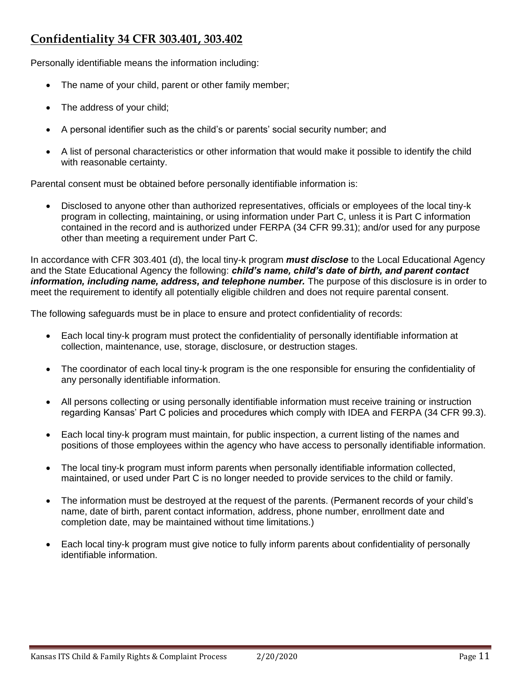## **Confidentiality 34 CFR 303.401, 303.402**

Personally identifiable means the information including:

- The name of your child, parent or other family member;
- The address of your child;
- A personal identifier such as the child's or parents' social security number; and
- A list of personal characteristics or other information that would make it possible to identify the child with reasonable certainty.

Parental consent must be obtained before personally identifiable information is:

• Disclosed to anyone other than authorized representatives, officials or employees of the local tiny-k program in collecting, maintaining, or using information under Part C, unless it is Part C information contained in the record and is authorized under FERPA (34 CFR 99.31); and/or used for any purpose other than meeting a requirement under Part C.

In accordance with CFR 303.401 (d), the local tiny-k program *must disclose* to the Local Educational Agency and the State Educational Agency the following: *child's name, child's date of birth, and parent contact information, including name, address, and telephone number.* The purpose of this disclosure is in order to meet the requirement to identify all potentially eligible children and does not require parental consent.

The following safeguards must be in place to ensure and protect confidentiality of records:

- Each local tiny-k program must protect the confidentiality of personally identifiable information at collection, maintenance, use, storage, disclosure, or destruction stages.
- The coordinator of each local tiny-k program is the one responsible for ensuring the confidentiality of any personally identifiable information.
- All persons collecting or using personally identifiable information must receive training or instruction regarding Kansas' Part C policies and procedures which comply with IDEA and FERPA (34 CFR 99.3).
- Each local tiny-k program must maintain, for public inspection, a current listing of the names and positions of those employees within the agency who have access to personally identifiable information.
- The local tiny-k program must inform parents when personally identifiable information collected, maintained, or used under Part C is no longer needed to provide services to the child or family.
- The information must be destroyed at the request of the parents. (Permanent records of your child's name, date of birth, parent contact information, address, phone number, enrollment date and completion date, may be maintained without time limitations.)
- Each local tiny-k program must give notice to fully inform parents about confidentiality of personally identifiable information.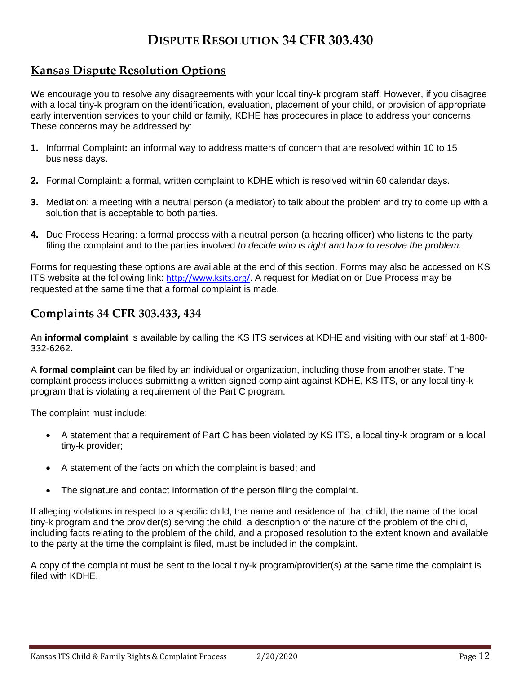## **DISPUTE RESOLUTION 34 CFR 303.430**

## **Kansas Dispute Resolution Options**

We encourage you to resolve any disagreements with your local tiny-k program staff. However, if you disagree with a local tiny-k program on the identification, evaluation, placement of your child, or provision of appropriate early intervention services to your child or family, KDHE has procedures in place to address your concerns. These concerns may be addressed by:

- **1.** Informal Complaint**:** an informal way to address matters of concern that are resolved within 10 to 15 business days.
- **2.** Formal Complaint: a formal, written complaint to KDHE which is resolved within 60 calendar days.
- **3.** Mediation: a meeting with a neutral person (a mediator) to talk about the problem and try to come up with a solution that is acceptable to both parties.
- **4.** Due Process Hearing: a formal process with a neutral person (a hearing officer) who listens to the party filing the complaint and to the parties involved *to decide who is right and how to resolve the problem.*

Forms for requesting these options are available at the end of this section. Forms may also be accessed on KS ITS website at the following link: <http://www.ksits.org/>. A request for Mediation or Due Process may be requested at the same time that a formal complaint is made.

#### **Complaints 34 CFR 303.433, 434**

An **informal complaint** is available by calling the KS ITS services at KDHE and visiting with our staff at 1-800- 332-6262.

A **formal complaint** can be filed by an individual or organization, including those from another state. The complaint process includes submitting a written signed complaint against KDHE, KS ITS, or any local tiny-k program that is violating a requirement of the Part C program.

The complaint must include:

- A statement that a requirement of Part C has been violated by KS ITS, a local tiny-k program or a local tiny-k provider;
- A statement of the facts on which the complaint is based; and
- The signature and contact information of the person filing the complaint.

If alleging violations in respect to a specific child, the name and residence of that child, the name of the local tiny-k program and the provider(s) serving the child, a description of the nature of the problem of the child, including facts relating to the problem of the child, and a proposed resolution to the extent known and available to the party at the time the complaint is filed, must be included in the complaint.

A copy of the complaint must be sent to the local tiny-k program/provider(s) at the same time the complaint is filed with KDHE.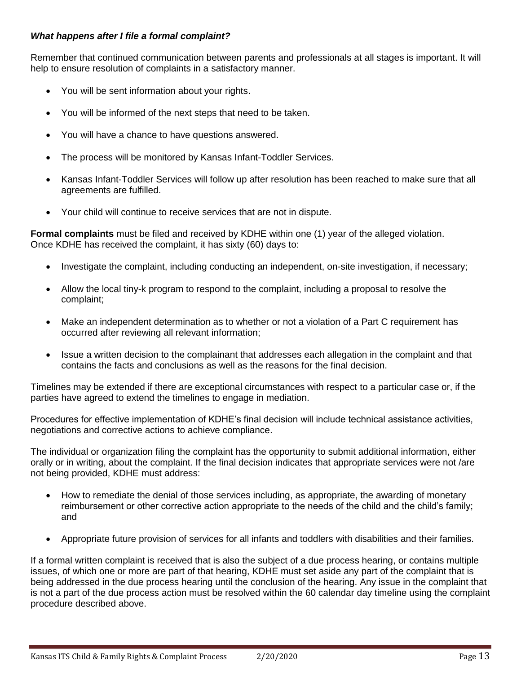#### *What happens after I file a formal complaint?*

Remember that continued communication between parents and professionals at all stages is important. It will help to ensure resolution of complaints in a satisfactory manner.

- You will be sent information about your rights.
- You will be informed of the next steps that need to be taken.
- You will have a chance to have questions answered.
- The process will be monitored by Kansas Infant-Toddler Services.
- Kansas Infant-Toddler Services will follow up after resolution has been reached to make sure that all agreements are fulfilled.
- Your child will continue to receive services that are not in dispute.

**Formal complaints** must be filed and received by KDHE within one (1) year of the alleged violation. Once KDHE has received the complaint, it has sixty (60) days to:

- Investigate the complaint, including conducting an independent, on-site investigation, if necessary;
- Allow the local tiny-k program to respond to the complaint, including a proposal to resolve the complaint;
- Make an independent determination as to whether or not a violation of a Part C requirement has occurred after reviewing all relevant information;
- Issue a written decision to the complainant that addresses each allegation in the complaint and that contains the facts and conclusions as well as the reasons for the final decision.

Timelines may be extended if there are exceptional circumstances with respect to a particular case or, if the parties have agreed to extend the timelines to engage in mediation.

Procedures for effective implementation of KDHE's final decision will include technical assistance activities, negotiations and corrective actions to achieve compliance.

The individual or organization filing the complaint has the opportunity to submit additional information, either orally or in writing, about the complaint. If the final decision indicates that appropriate services were not /are not being provided, KDHE must address:

- How to remediate the denial of those services including, as appropriate, the awarding of monetary reimbursement or other corrective action appropriate to the needs of the child and the child's family; and
- Appropriate future provision of services for all infants and toddlers with disabilities and their families.

If a formal written complaint is received that is also the subject of a due process hearing, or contains multiple issues, of which one or more are part of that hearing, KDHE must set aside any part of the complaint that is being addressed in the due process hearing until the conclusion of the hearing. Any issue in the complaint that is not a part of the due process action must be resolved within the 60 calendar day timeline using the complaint procedure described above.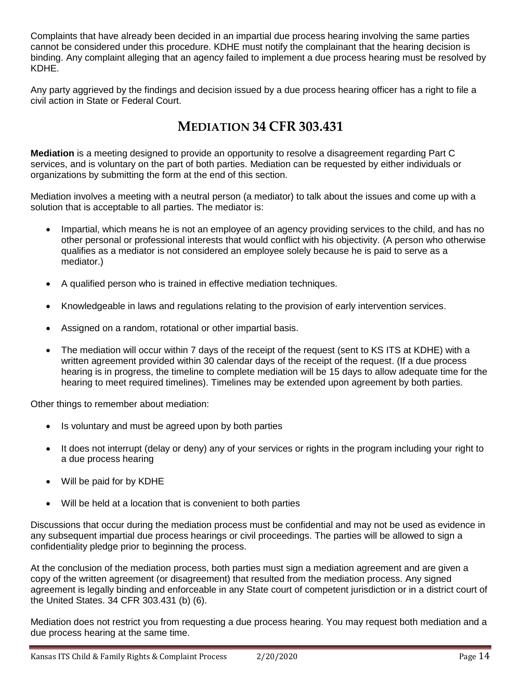Complaints that have already been decided in an impartial due process hearing involving the same parties cannot be considered under this procedure. KDHE must notify the complainant that the hearing decision is binding. Any complaint alleging that an agency failed to implement a due process hearing must be resolved by KDHE.

Any party aggrieved by the findings and decision issued by a due process hearing officer has a right to file a civil action in State or Federal Court.

# **MEDIATION 34 CFR 303.431**

**Mediation** is a meeting designed to provide an opportunity to resolve a disagreement regarding Part C services, and is voluntary on the part of both parties. Mediation can be requested by either individuals or organizations by submitting the form at the end of this section.

Mediation involves a meeting with a neutral person (a mediator) to talk about the issues and come up with a solution that is acceptable to all parties. The mediator is:

- Impartial, which means he is not an employee of an agency providing services to the child, and has no other personal or professional interests that would conflict with his objectivity. (A person who otherwise qualifies as a mediator is not considered an employee solely because he is paid to serve as a mediator.)
- A qualified person who is trained in effective mediation techniques.
- Knowledgeable in laws and regulations relating to the provision of early intervention services.
- Assigned on a random, rotational or other impartial basis.
- The mediation will occur within 7 days of the receipt of the request (sent to KS ITS at KDHE) with a written agreement provided within 30 calendar days of the receipt of the request. (If a due process hearing is in progress, the timeline to complete mediation will be 15 days to allow adequate time for the hearing to meet required timelines). Timelines may be extended upon agreement by both parties.

Other things to remember about mediation:

- Is voluntary and must be agreed upon by both parties
- It does not interrupt (delay or deny) any of your services or rights in the program including your right to a due process hearing
- Will be paid for by KDHE
- Will be held at a location that is convenient to both parties

Discussions that occur during the mediation process must be confidential and may not be used as evidence in any subsequent impartial due process hearings or civil proceedings. The parties will be allowed to sign a confidentiality pledge prior to beginning the process.

At the conclusion of the mediation process, both parties must sign a mediation agreement and are given a copy of the written agreement (or disagreement) that resulted from the mediation process. Any signed agreement is legally binding and enforceable in any State court of competent jurisdiction or in a district court of the United States. 34 CFR 303.431 (b) (6).

Mediation does not restrict you from requesting a due process hearing. You may request both mediation and a due process hearing at the same time.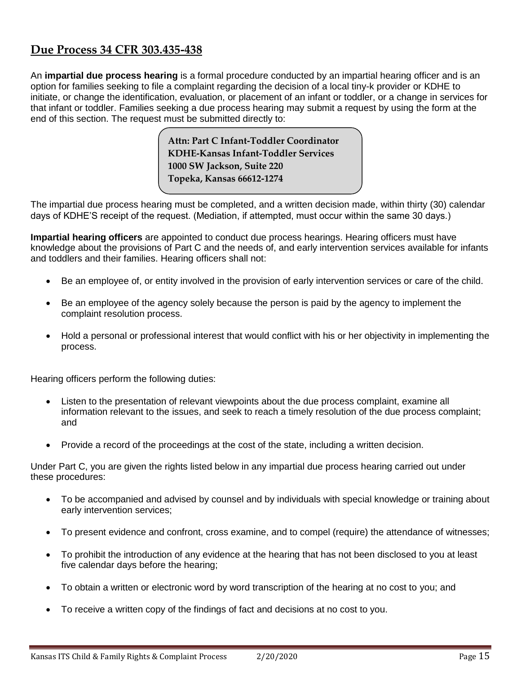## **Due Process 34 CFR 303.435-438**

An **impartial due process hearing** is a formal procedure conducted by an impartial hearing officer and is an option for families seeking to file a complaint regarding the decision of a local tiny-k provider or KDHE to initiate, or change the identification, evaluation, or placement of an infant or toddler, or a change in services for that infant or toddler. Families seeking a due process hearing may submit a request by using the form at the end of this section. The request must be submitted directly to:

> **Attn: Part C Infant-Toddler Coordinator KDHE-Kansas Infant-Toddler Services 1000 SW Jackson, Suite 220 Topeka, Kansas 66612-1274**

The impartial due process hearing must be completed, and a written decision made, within thirty (30) calendar days of KDHE'S receipt of the request. (Mediation, if attempted, must occur within the same 30 days.)

**Impartial hearing officers** are appointed to conduct due process hearings. Hearing officers must have knowledge about the provisions of Part C and the needs of, and early intervention services available for infants and toddlers and their families. Hearing officers shall not:

- Be an employee of, or entity involved in the provision of early intervention services or care of the child.
- Be an employee of the agency solely because the person is paid by the agency to implement the complaint resolution process.
- Hold a personal or professional interest that would conflict with his or her objectivity in implementing the process.

Hearing officers perform the following duties:

- Listen to the presentation of relevant viewpoints about the due process complaint, examine all information relevant to the issues, and seek to reach a timely resolution of the due process complaint; and
- Provide a record of the proceedings at the cost of the state, including a written decision.

Under Part C, you are given the rights listed below in any impartial due process hearing carried out under these procedures:

- To be accompanied and advised by counsel and by individuals with special knowledge or training about early intervention services;
- To present evidence and confront, cross examine, and to compel (require) the attendance of witnesses;
- To prohibit the introduction of any evidence at the hearing that has not been disclosed to you at least five calendar days before the hearing;
- To obtain a written or electronic word by word transcription of the hearing at no cost to you; and
- To receive a written copy of the findings of fact and decisions at no cost to you.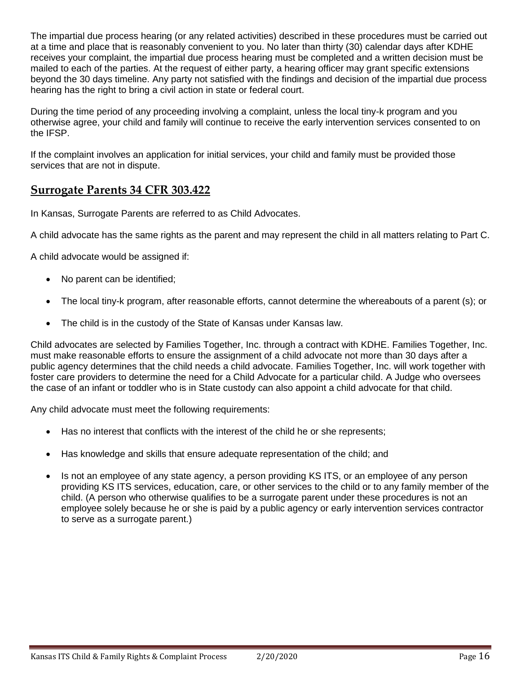The impartial due process hearing (or any related activities) described in these procedures must be carried out at a time and place that is reasonably convenient to you. No later than thirty (30) calendar days after KDHE receives your complaint, the impartial due process hearing must be completed and a written decision must be mailed to each of the parties. At the request of either party, a hearing officer may grant specific extensions beyond the 30 days timeline. Any party not satisfied with the findings and decision of the impartial due process hearing has the right to bring a civil action in state or federal court.

During the time period of any proceeding involving a complaint, unless the local tiny-k program and you otherwise agree, your child and family will continue to receive the early intervention services consented to on the IFSP.

If the complaint involves an application for initial services, your child and family must be provided those services that are not in dispute.

#### **Surrogate Parents 34 CFR 303.422**

In Kansas, Surrogate Parents are referred to as Child Advocates.

A child advocate has the same rights as the parent and may represent the child in all matters relating to Part C.

A child advocate would be assigned if:

- No parent can be identified;
- The local tiny-k program, after reasonable efforts, cannot determine the whereabouts of a parent (s); or
- The child is in the custody of the State of Kansas under Kansas law.

Child advocates are selected by Families Together, Inc. through a contract with KDHE. Families Together, Inc. must make reasonable efforts to ensure the assignment of a child advocate not more than 30 days after a public agency determines that the child needs a child advocate. Families Together, Inc. will work together with foster care providers to determine the need for a Child Advocate for a particular child. A Judge who oversees the case of an infant or toddler who is in State custody can also appoint a child advocate for that child.

Any child advocate must meet the following requirements:

- Has no interest that conflicts with the interest of the child he or she represents;
- Has knowledge and skills that ensure adequate representation of the child; and
- Is not an employee of any state agency, a person providing KS ITS, or an employee of any person providing KS ITS services, education, care, or other services to the child or to any family member of the child. (A person who otherwise qualifies to be a surrogate parent under these procedures is not an employee solely because he or she is paid by a public agency or early intervention services contractor to serve as a surrogate parent.)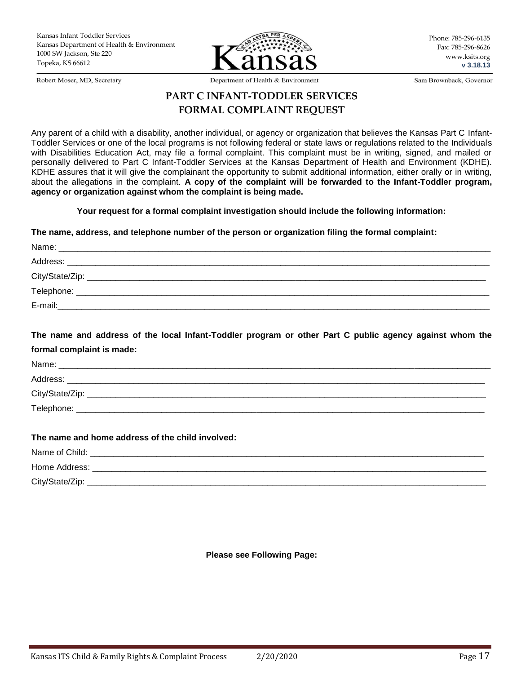

Robert Moser, MD, Secretary

Department of Health & Environment

Sam Brownback, Governor

#### **PART C INFANT-TODDLER SERVICES FORMAL COMPLAINT REQUEST**

Any parent of a child with a disability, another individual, or agency or organization that believes the Kansas Part C Infant-Toddler Services or one of the local programs is not following federal or state laws or regulations related to the Individuals with Disabilities Education Act, may file a formal complaint. This complaint must be in writing, signed, and mailed or personally delivered to Part C Infant-Toddler Services at the Kansas Department of Health and Environment (KDHE). KDHE assures that it will give the complainant the opportunity to submit additional information, either orally or in writing, about the allegations in the complaint. **A copy of the complaint will be forwarded to the Infant-Toddler program, agency or organization against whom the complaint is being made.** 

**Your request for a formal complaint investigation should include the following information:**

**1. The name, address, and telephone number of the person or organization filing the formal complaint:**

| Name:                                                                                                                             |  |
|-----------------------------------------------------------------------------------------------------------------------------------|--|
| Address:<br><u> 1980 - Jan James James Barnett, amerikan berkema dan berkema dalam pengaran berkema dan berkema dalam pengara</u> |  |
| City/State/Zip: _                                                                                                                 |  |
| Telephone:                                                                                                                        |  |
| E-mail:                                                                                                                           |  |
|                                                                                                                                   |  |

**2. The name and address of the local Infant-Toddler program or other Part C public agency against whom the formal complaint is made:**

| Name:           |  |
|-----------------|--|
| Address:        |  |
| City/State/Zip: |  |
| Telephone:      |  |
|                 |  |

| The name and home address of the child involved: |
|--------------------------------------------------|
|--------------------------------------------------|

| Name of Child:  |  |
|-----------------|--|
| Home Address:   |  |
| City/State/Zip: |  |

**Please see Following Page:**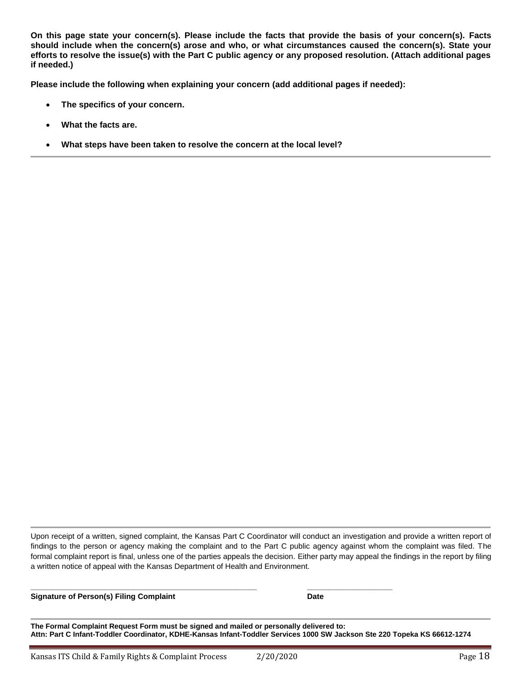**On this page state your concern(s). Please include the facts that provide the basis of your concern(s). Facts should include when the concern(s) arose and who, or what circumstances caused the concern(s). State your efforts to resolve the issue(s) with the Part C public agency or any proposed resolution. (Attach additional pages if needed.)**

**Please include the following when explaining your concern (add additional pages if needed):**

- **The specifics of your concern.**
- **What the facts are.**
- **What steps have been taken to resolve the concern at the local level?**

Upon receipt of a written, signed complaint, the Kansas Part C Coordinator will conduct an investigation and provide a written report of findings to the person or agency making the complaint and to the Part C public agency against whom the complaint was filed. The formal complaint report is final, unless one of the parties appeals the decision. Either party may appeal the findings in the report by filing a written notice of appeal with the Kansas Department of Health and Environment.

**Signature of Person(s) Filing Complaint Date**

**The Formal Complaint Request Form must be signed and mailed or personally delivered to: Attn: Part C Infant-Toddler Coordinator, KDHE-Kansas Infant-Toddler Services 1000 SW Jackson Ste 220 Topeka KS 66612-1274**

**\_\_\_\_\_\_\_\_\_\_\_\_\_\_\_\_\_\_\_\_\_\_\_\_\_\_\_\_\_\_\_\_\_\_\_\_\_\_\_\_\_\_\_\_\_\_\_\_\_\_\_\_\_ \_\_\_\_\_\_\_\_\_\_\_\_\_\_\_\_\_\_\_\_**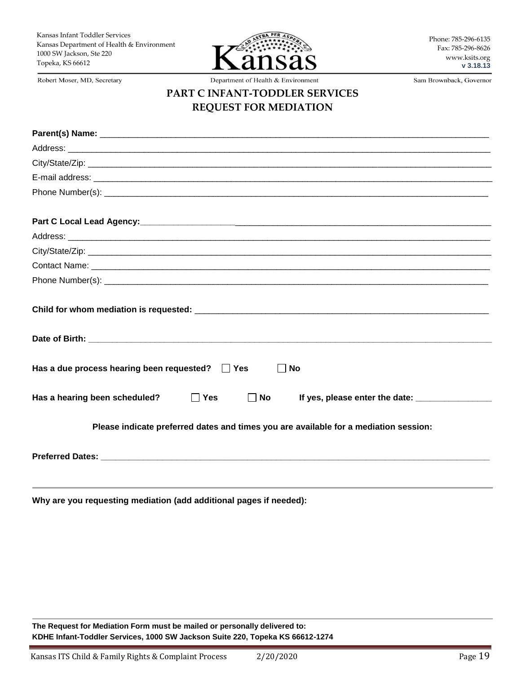

Robert Moser, MD, Secretary

Department of Health & Environment

Sam Brownback, Governor

#### **PART C INFANT-TODDLER SERVICES REQUEST FOR MEDIATION**

| Has a due process hearing been requested? $\Box$ Yes |                         | $\Box$ No                                                                            |
|------------------------------------------------------|-------------------------|--------------------------------------------------------------------------------------|
| Has a hearing been scheduled?                        | $\Box$ Yes<br>$\Box$ No | If yes, please enter the date: _______________                                       |
|                                                      |                         | Please indicate preferred dates and times you are available for a mediation session: |
|                                                      |                         |                                                                                      |
|                                                      |                         |                                                                                      |
|                                                      |                         |                                                                                      |

**The Request for Mediation Form must be mailed or personally delivered to: KDHE Infant-Toddler Services, 1000 SW Jackson Suite 220, Topeka KS 66612-1274**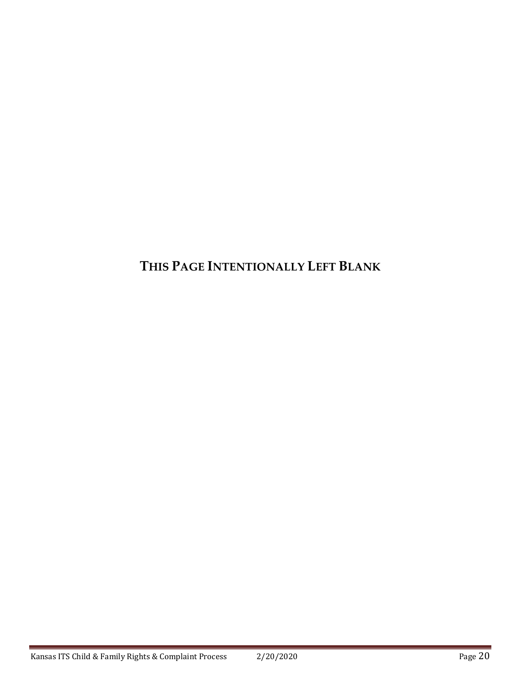**THIS PAGE INTENTIONALLY LEFT BLANK**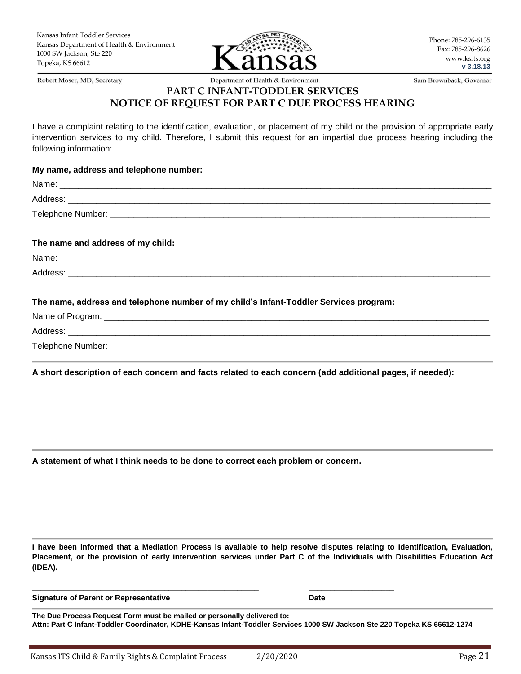

Phone: 785-296-6135 Fax: 785-296-8626 www.ksits.org **v 3.18.13**

Robert Moser, MD, Secretary

Department of Health & Environment

Sam Brownback, Governor

#### **PART C INFANT-TODDLER SERVICES NOTICE OF REQUEST FOR PART C DUE PROCESS HEARING**

I have a complaint relating to the identification, evaluation, or placement of my child or the provision of appropriate early intervention services to my child. Therefore, I submit this request for an impartial due process hearing including the following information:

**1. My name, address and telephone number:**

Name: \_\_\_\_\_\_\_\_\_\_\_\_\_\_\_\_\_\_\_\_\_\_\_\_\_\_\_\_\_\_\_\_\_\_\_\_\_\_\_\_\_\_\_\_\_\_\_\_\_\_\_\_\_\_\_\_\_\_\_\_\_\_\_\_\_\_\_\_\_\_\_\_\_\_\_\_\_\_\_\_\_\_\_\_\_\_\_\_\_\_\_

Address: \_\_\_\_\_\_\_\_\_\_\_\_\_\_\_\_\_\_\_\_\_\_\_\_\_\_\_\_\_\_\_\_\_\_\_\_\_\_\_\_\_\_\_\_\_\_\_\_\_\_\_\_\_\_\_\_\_\_\_\_\_\_\_\_\_\_\_\_\_\_\_\_\_\_\_\_\_\_\_\_\_\_\_\_\_\_\_\_\_

Telephone Number: \_\_\_\_\_\_\_\_\_\_\_\_\_\_\_\_\_\_\_\_\_\_\_\_\_\_\_\_\_\_\_\_\_\_\_\_\_\_\_\_\_\_\_\_\_\_\_\_\_\_\_\_\_\_\_\_\_\_\_\_\_\_\_\_\_\_\_\_\_\_\_\_\_\_\_\_\_\_\_\_

#### **2. The name and address of my child:**

Name: \_\_\_\_\_\_\_\_\_\_\_\_\_\_\_\_\_\_\_\_\_\_\_\_\_\_\_\_\_\_\_\_\_\_\_\_\_\_\_\_\_\_\_\_\_\_\_\_\_\_\_\_\_\_\_\_\_\_\_\_\_\_\_\_\_\_\_\_\_\_\_\_\_\_\_\_\_\_\_\_\_\_\_\_\_\_\_\_\_\_\_

Address: \_\_\_\_\_\_\_\_\_\_\_\_\_\_\_\_\_\_\_\_\_\_\_\_\_\_\_\_\_\_\_\_\_\_\_\_\_\_\_\_\_\_\_\_\_\_\_\_\_\_\_\_\_\_\_\_\_\_\_\_\_\_\_\_\_\_\_\_\_\_\_\_\_\_\_\_\_\_\_\_\_\_\_\_\_\_\_\_\_

#### **3. The name, address and telephone number of my child's Infant-Toddler Services program:**

| Name of Program:  |  |  |  |  |
|-------------------|--|--|--|--|
| Address:          |  |  |  |  |
| Telephone Number: |  |  |  |  |

**4. A short description of each concern and facts related to each concern (add additional pages, if needed):**

**5. A statement of what I think needs to be done to correct each problem or concern.**

**\_\_\_\_\_\_\_\_\_\_\_\_\_\_\_\_\_\_\_\_\_\_\_\_\_\_\_\_\_\_\_\_\_\_\_\_\_\_\_\_\_\_\_\_\_\_\_\_\_\_\_\_\_ \_\_\_\_\_\_\_\_\_\_\_\_\_\_\_\_\_\_\_\_**

**I have been informed that a Mediation Process is available to help resolve disputes relating to Identification, Evaluation, Placement, or the provision of early intervention services under Part C of the Individuals with Disabilities Education Act (IDEA).**

**Signature of Parent or Representative Constrainer Signature Date** 

**The Due Process Request Form must be mailed or personally delivered to: Attn: Part C Infant-Toddler Coordinator, KDHE-Kansas Infant-Toddler Services 1000 SW Jackson Ste 220 Topeka KS 66612-1274**